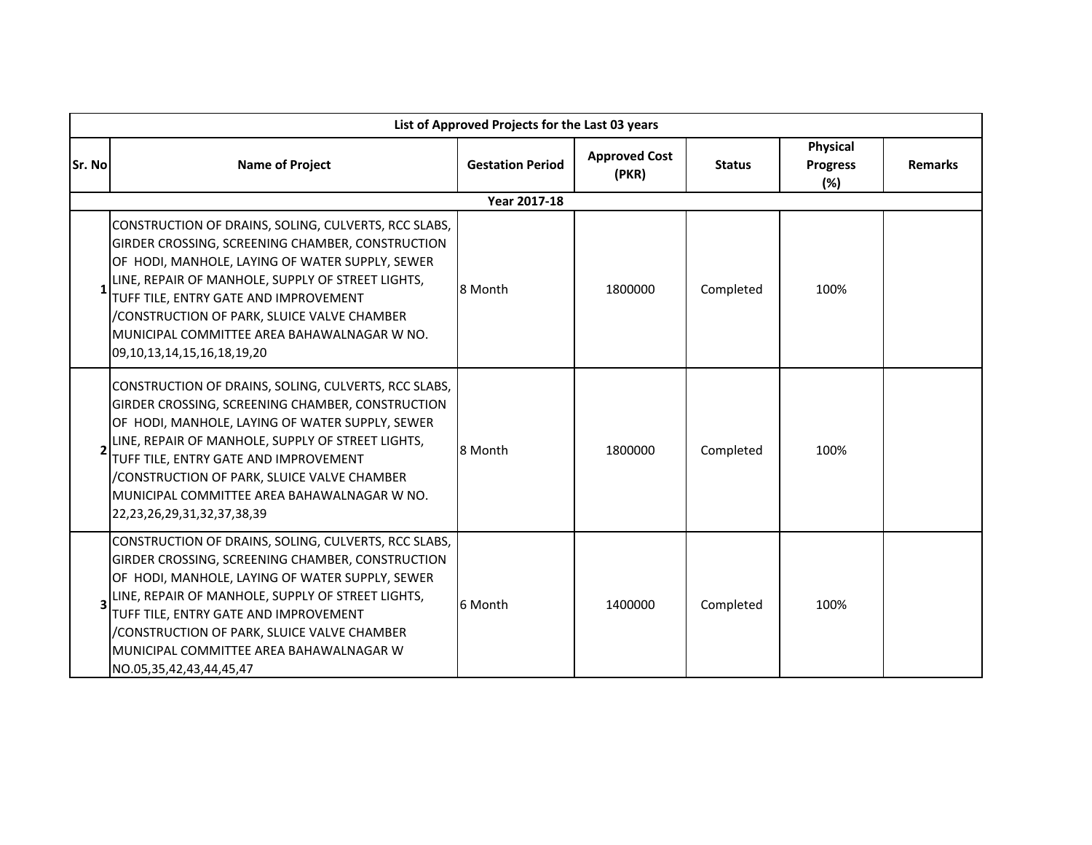| List of Approved Projects for the Last 03 years |                                                                                                                                                                                                                                                                                                                                                                                               |                         |                               |               |                                    |                |  |  |
|-------------------------------------------------|-----------------------------------------------------------------------------------------------------------------------------------------------------------------------------------------------------------------------------------------------------------------------------------------------------------------------------------------------------------------------------------------------|-------------------------|-------------------------------|---------------|------------------------------------|----------------|--|--|
| Sr. No                                          | <b>Name of Project</b>                                                                                                                                                                                                                                                                                                                                                                        | <b>Gestation Period</b> | <b>Approved Cost</b><br>(PKR) | <b>Status</b> | Physical<br><b>Progress</b><br>(%) | <b>Remarks</b> |  |  |
|                                                 | Year 2017-18                                                                                                                                                                                                                                                                                                                                                                                  |                         |                               |               |                                    |                |  |  |
|                                                 | CONSTRUCTION OF DRAINS, SOLING, CULVERTS, RCC SLABS,<br>GIRDER CROSSING, SCREENING CHAMBER, CONSTRUCTION<br>OF HODI, MANHOLE, LAYING OF WATER SUPPLY, SEWER<br>LINE, REPAIR OF MANHOLE, SUPPLY OF STREET LIGHTS,<br>TUFF TILE, ENTRY GATE AND IMPROVEMENT<br>/CONSTRUCTION OF PARK, SLUICE VALVE CHAMBER<br>MUNICIPAL COMMITTEE AREA BAHAWALNAGAR W NO.<br>09, 10, 13, 14, 15, 16, 18, 19, 20 | 8 Month                 | 1800000                       | Completed     | 100%                               |                |  |  |
|                                                 | CONSTRUCTION OF DRAINS, SOLING, CULVERTS, RCC SLABS,<br>GIRDER CROSSING, SCREENING CHAMBER, CONSTRUCTION<br>OF HODI, MANHOLE, LAYING OF WATER SUPPLY, SEWER<br>LINE, REPAIR OF MANHOLE, SUPPLY OF STREET LIGHTS,<br>TUFF TILE, ENTRY GATE AND IMPROVEMENT<br>/CONSTRUCTION OF PARK, SLUICE VALVE CHAMBER<br>MUNICIPAL COMMITTEE AREA BAHAWALNAGAR W NO.<br>22, 23, 26, 29, 31, 32, 37, 38, 39 | 8 Month                 | 1800000                       | Completed     | 100%                               |                |  |  |
|                                                 | CONSTRUCTION OF DRAINS, SOLING, CULVERTS, RCC SLABS,<br>GIRDER CROSSING, SCREENING CHAMBER, CONSTRUCTION<br>OF HODI, MANHOLE, LAYING OF WATER SUPPLY, SEWER<br>LINE, REPAIR OF MANHOLE, SUPPLY OF STREET LIGHTS,<br>TUFF TILE, ENTRY GATE AND IMPROVEMENT<br>/CONSTRUCTION OF PARK, SLUICE VALVE CHAMBER<br>MUNICIPAL COMMITTEE AREA BAHAWALNAGAR W<br>NO.05,35,42,43,44,45,47                | 6 Month                 | 1400000                       | Completed     | 100%                               |                |  |  |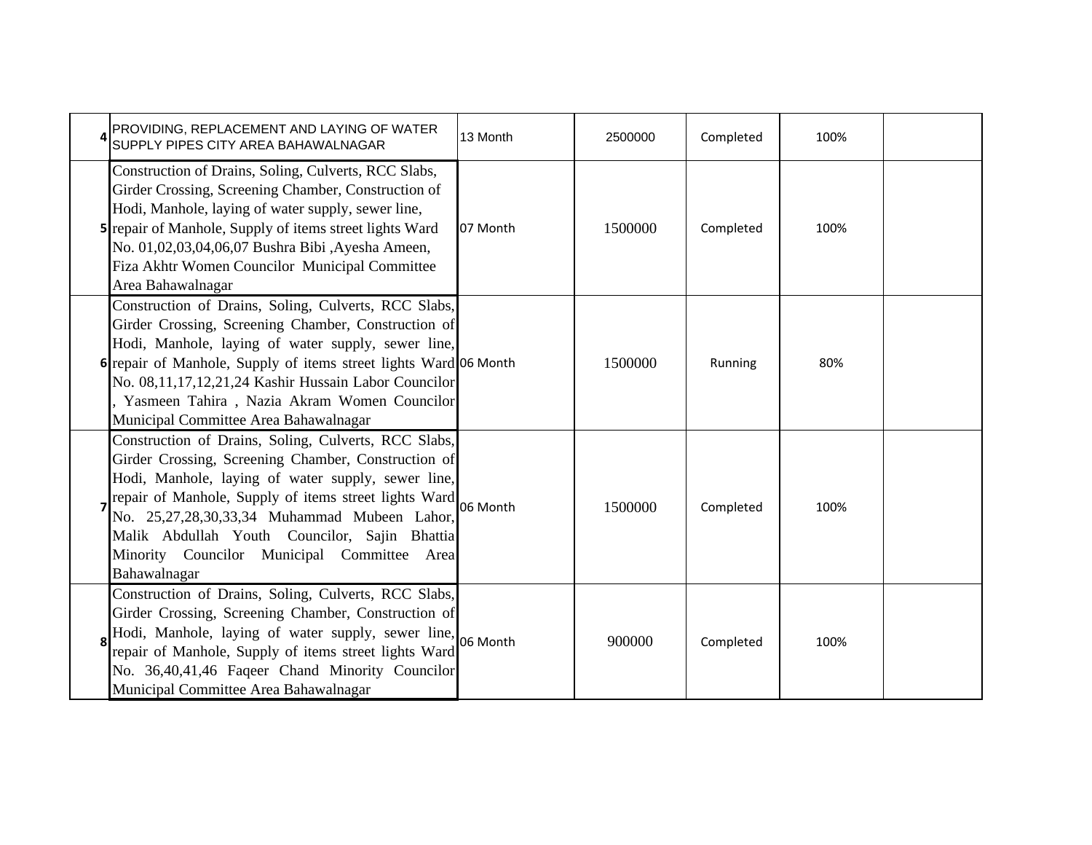| PROVIDING, REPLACEMENT AND LAYING OF WATER<br>SUPPLY PIPES CITY AREA BAHAWALNAGAR                                                                                                                                                                                                                                                                                                                   | 13 Month | 2500000 | Completed | 100% |  |
|-----------------------------------------------------------------------------------------------------------------------------------------------------------------------------------------------------------------------------------------------------------------------------------------------------------------------------------------------------------------------------------------------------|----------|---------|-----------|------|--|
| Construction of Drains, Soling, Culverts, RCC Slabs,<br>Girder Crossing, Screening Chamber, Construction of<br>Hodi, Manhole, laying of water supply, sewer line,<br>5 repair of Manhole, Supply of items street lights Ward<br>No. 01,02,03,04,06,07 Bushra Bibi ,Ayesha Ameen,<br>Fiza Akhtr Women Councilor Municipal Committee<br>Area Bahawalnagar                                             | 07 Month | 1500000 | Completed | 100% |  |
| Construction of Drains, Soling, Culverts, RCC Slabs,<br>Girder Crossing, Screening Chamber, Construction of<br>Hodi, Manhole, laying of water supply, sewer line,<br>6 repair of Manhole, Supply of items street lights Ward 06 Month<br>No. 08,11,17,12,21,24 Kashir Hussain Labor Councilor<br>Yasmeen Tahira, Nazia Akram Women Councilor<br>Municipal Committee Area Bahawalnagar               |          | 1500000 | Running   | 80%  |  |
| Construction of Drains, Soling, Culverts, RCC Slabs,<br>Girder Crossing, Screening Chamber, Construction of<br>Hodi, Manhole, laying of water supply, sewer line,<br>repair of Manhole, Supply of items street lights Ward 06 Month<br>No. 25,27,28,30,33,34 Muhammad Mubeen Lahor,<br>Malik Abdullah Youth Councilor, Sajin Bhattia<br>Minority Councilor Municipal Committee Area<br>Bahawalnagar |          | 1500000 | Completed | 100% |  |
| Construction of Drains, Soling, Culverts, RCC Slabs,<br>Girder Crossing, Screening Chamber, Construction of<br>Hodi, Manhole, laying of water supply, sewer line, 06 Month<br>repair of Manhole, Supply of items street lights Ward<br>No. 36,40,41,46 Faqeer Chand Minority Councilor<br>Municipal Committee Area Bahawalnagar                                                                     |          | 900000  | Completed | 100% |  |